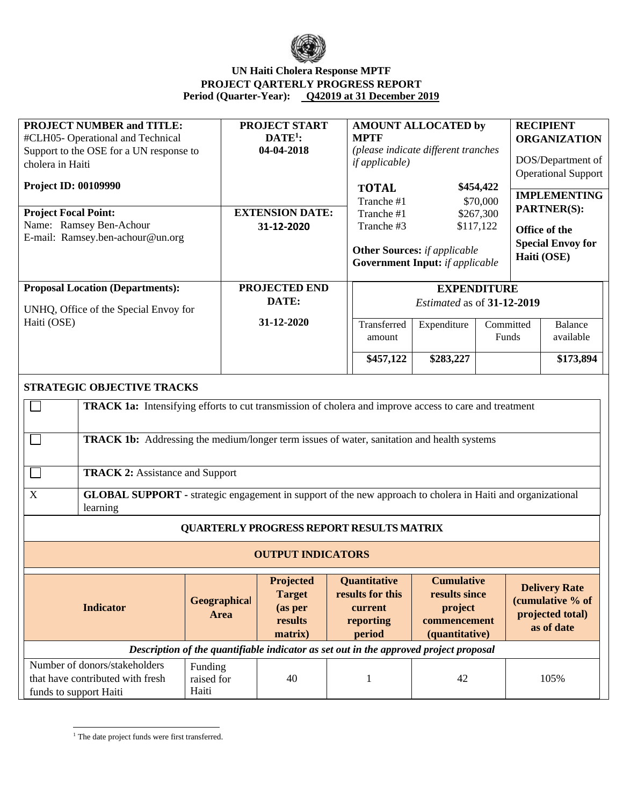

## **UN Haiti Cholera Response MPTF PROJECT QARTERLY PROGRESS REPORT Period (Quarter-Year): Q42019 at 31 December 2019**

| <b>PROJECT NUMBER and TITLE:</b>                                                                                               |              | <b>PROJECT START</b>     | <b>AMOUNT ALLOCATED by</b>                                                            |                                        |           | <b>RECIPIENT</b>    |                            |
|--------------------------------------------------------------------------------------------------------------------------------|--------------|--------------------------|---------------------------------------------------------------------------------------|----------------------------------------|-----------|---------------------|----------------------------|
| #CLH05-Operational and Technical                                                                                               |              | $DATE1$ :                | <b>MPTF</b>                                                                           |                                        |           | <b>ORGANIZATION</b> |                            |
| Support to the OSE for a UN response to                                                                                        |              | 04-04-2018               |                                                                                       | (please indicate different tranches    |           |                     |                            |
| cholera in Haiti                                                                                                               |              |                          | <i>if applicable</i> )                                                                |                                        |           |                     | DOS/Department of          |
|                                                                                                                                |              |                          |                                                                                       |                                        |           |                     | <b>Operational Support</b> |
| <b>Project ID: 00109990</b>                                                                                                    |              |                          |                                                                                       | \$454,422<br><b>TOTAL</b>              |           | <b>IMPLEMENTING</b> |                            |
| <b>Project Focal Point:</b>                                                                                                    |              | <b>EXTENSION DATE:</b>   |                                                                                       | Tranche #1<br>\$70,000                 |           | <b>PARTNER(S):</b>  |                            |
| Name: Ramsey Ben-Achour                                                                                                        |              |                          | Tranche #3                                                                            | \$267,300<br>Tranche #1<br>\$117,122   |           |                     |                            |
| E-mail: Ramsey.ben-achour@un.org                                                                                               |              | 31-12-2020               |                                                                                       |                                        |           |                     | Office of the              |
|                                                                                                                                |              |                          |                                                                                       | <b>Other Sources:</b> if applicable    |           |                     | <b>Special Envoy for</b>   |
|                                                                                                                                |              |                          |                                                                                       | <b>Government Input:</b> if applicable |           |                     | Haiti (OSE)                |
|                                                                                                                                |              |                          |                                                                                       |                                        |           |                     |                            |
| <b>Proposal Location (Departments):</b>                                                                                        |              | <b>PROJECTED END</b>     |                                                                                       | <b>EXPENDITURE</b>                     |           |                     |                            |
|                                                                                                                                |              | DATE:                    |                                                                                       | Estimated as of 31-12-2019             |           |                     |                            |
| UNHQ, Office of the Special Envoy for                                                                                          |              |                          |                                                                                       |                                        |           |                     |                            |
| Haiti (OSE)                                                                                                                    |              | 31-12-2020               | Transferred                                                                           | Expenditure                            | Committed |                     | <b>Balance</b>             |
|                                                                                                                                |              |                          | amount                                                                                |                                        | Funds     |                     | available                  |
|                                                                                                                                |              |                          | \$457,122                                                                             | \$283,227                              |           |                     | \$173,894                  |
|                                                                                                                                |              |                          |                                                                                       |                                        |           |                     |                            |
| STRATEGIC OBJECTIVE TRACKS                                                                                                     |              |                          |                                                                                       |                                        |           |                     |                            |
|                                                                                                                                |              |                          |                                                                                       |                                        |           |                     |                            |
| <b>TRACK 1a:</b> Intensifying efforts to cut transmission of cholera and improve access to care and treatment                  |              |                          |                                                                                       |                                        |           |                     |                            |
|                                                                                                                                |              |                          |                                                                                       |                                        |           |                     |                            |
| <b>TRACK 1b:</b> Addressing the medium/longer term issues of water, sanitation and health systems                              |              |                          |                                                                                       |                                        |           |                     |                            |
|                                                                                                                                |              |                          |                                                                                       |                                        |           |                     |                            |
|                                                                                                                                |              |                          |                                                                                       |                                        |           |                     |                            |
| <b>TRACK 2: Assistance and Support</b>                                                                                         |              |                          |                                                                                       |                                        |           |                     |                            |
| $\mathbf X$                                                                                                                    |              |                          |                                                                                       |                                        |           |                     |                            |
| <b>GLOBAL SUPPORT</b> - strategic engagement in support of the new approach to cholera in Haiti and organizational<br>learning |              |                          |                                                                                       |                                        |           |                     |                            |
|                                                                                                                                |              |                          |                                                                                       |                                        |           |                     |                            |
|                                                                                                                                |              |                          | <b>QUARTERLY PROGRESS REPORT RESULTS MATRIX</b>                                       |                                        |           |                     |                            |
|                                                                                                                                |              |                          |                                                                                       |                                        |           |                     |                            |
|                                                                                                                                |              | <b>OUTPUT INDICATORS</b> |                                                                                       |                                        |           |                     |                            |
|                                                                                                                                |              | Projected                | Quantitative                                                                          | <b>Cumulative</b>                      |           |                     |                            |
|                                                                                                                                |              | <b>Target</b>            | results for this                                                                      | results since                          |           |                     | <b>Delivery Rate</b>       |
| <b>Indicator</b>                                                                                                               | Geographical | (as per                  | current                                                                               | project                                |           |                     | (cumulative % of           |
|                                                                                                                                | Area         | results                  | reporting                                                                             | commencement                           |           |                     | projected total)           |
|                                                                                                                                |              | matrix)                  | period                                                                                | (quantitative)                         |           |                     | as of date                 |
|                                                                                                                                |              |                          | Description of the quantifiable indicator as set out in the approved project proposal |                                        |           |                     |                            |
| Number of donors/stakeholders                                                                                                  | Funding      |                          |                                                                                       |                                        |           |                     |                            |
| that have contributed with fresh                                                                                               | raised for   | 40                       | $\mathbf 1$                                                                           | 42                                     |           |                     | 105%                       |
| funds to support Haiti                                                                                                         | Haiti        |                          |                                                                                       |                                        |           |                     |                            |

 $^{\rm 1}$  The date project funds were first transferred.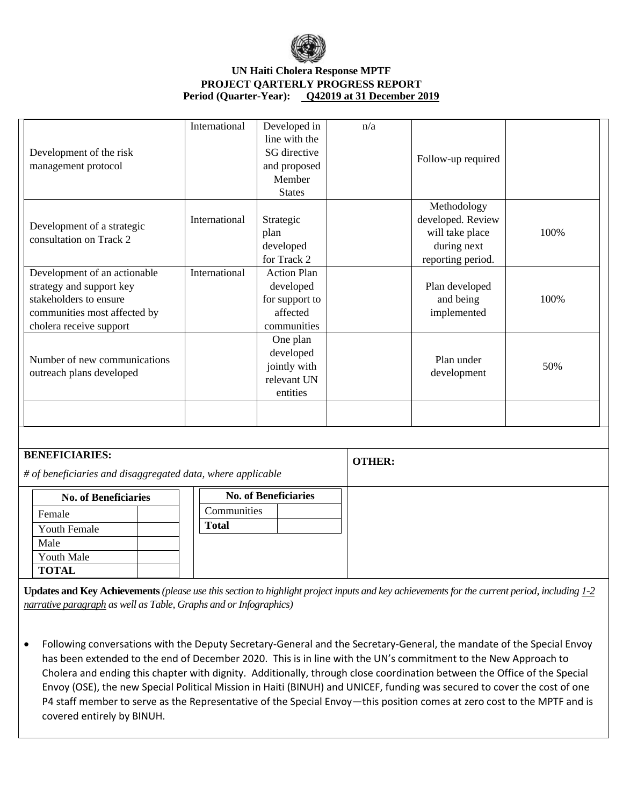

## **UN Haiti Cholera Response MPTF PROJECT QARTERLY PROGRESS REPORT Period (Quarter-Year): Q42019 at 31 December 2019**

| Development of the risk<br>management protocol                                                                                                | International | Developed in<br>line with the<br>SG directive<br>and proposed<br>Member<br><b>States</b> | n/a | Follow-up required                                                                      |      |
|-----------------------------------------------------------------------------------------------------------------------------------------------|---------------|------------------------------------------------------------------------------------------|-----|-----------------------------------------------------------------------------------------|------|
| Development of a strategic<br>consultation on Track 2                                                                                         | International | Strategic<br>plan<br>developed<br>for Track 2                                            |     | Methodology<br>developed. Review<br>will take place<br>during next<br>reporting period. | 100% |
| Development of an actionable<br>strategy and support key<br>stakeholders to ensure<br>communities most affected by<br>cholera receive support | International | <b>Action Plan</b><br>developed<br>for support to<br>affected<br>communities             |     | Plan developed<br>and being<br>implemented                                              | 100% |
| Number of new communications<br>outreach plans developed                                                                                      |               | One plan<br>developed<br>jointly with<br>relevant UN<br>entities                         |     | Plan under<br>development                                                               | 50%  |
|                                                                                                                                               |               |                                                                                          |     |                                                                                         |      |

| <b>BENEFICIARIES:</b><br># of beneficiaries and disaggregated data, where applicable |                             |                             | <b>OTHER:</b> |
|--------------------------------------------------------------------------------------|-----------------------------|-----------------------------|---------------|
|                                                                                      | <b>No. of Beneficiaries</b> | <b>No. of Beneficiaries</b> |               |
|                                                                                      | Female                      | Communities                 |               |
|                                                                                      | <b>Youth Female</b>         | <b>Total</b>                |               |
|                                                                                      | Male                        |                             |               |
|                                                                                      | <b>Youth Male</b>           |                             |               |
|                                                                                      | <b>TOTAL</b>                |                             |               |

**Updates and Key Achievements** *(please use this section to highlight project inputs and key achievements for the current period, including 1-2 narrative paragraph as well as Table, Graphs and or Infographics)*

• Following conversations with the Deputy Secretary-General and the Secretary-General, the mandate of the Special Envoy has been extended to the end of December 2020. This is in line with the UN's commitment to the New Approach to Cholera and ending this chapter with dignity. Additionally, through close coordination between the Office of the Special Envoy (OSE), the new Special Political Mission in Haiti (BINUH) and UNICEF, funding was secured to cover the cost of one P4 staff member to serve as the Representative of the Special Envoy—this position comes at zero cost to the MPTF and is covered entirely by BINUH.